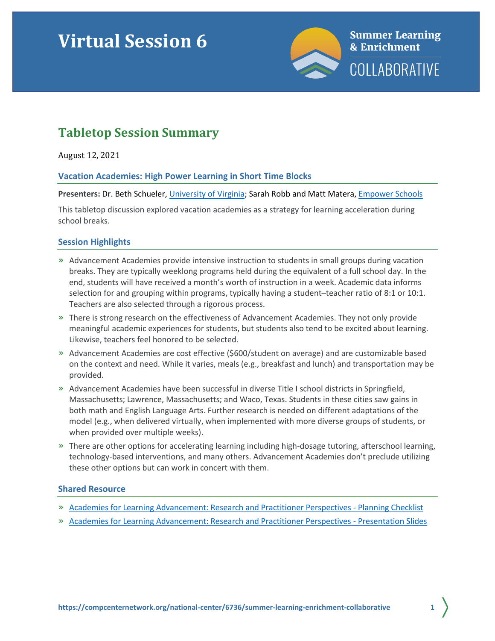# **Virtual Session 6**



# **Tabletop Session Summary**

August 12, 2021

# **Vacation Academies: High Power Learning in Short Time Blocks**

#### **Presenters:** Dr. Beth Schueler[, University of Virginia;](https://education.virginia.edu/) Sarah Robb and Matt Matera[, Empower Schools](https://www.empowerschools.org/)

This tabletop discussion explored vacation academies as a strategy for learning acceleration during school breaks.

# **Session Highlights**

- » Advancement Academies provide intensive instruction to students in small groups during vacation breaks. They are typically weeklong programs held during the equivalent of a full school day. In the end, students will have received a month's worth of instruction in a week. Academic data informs selection for and grouping within programs, typically having a student–teacher ratio of 8:1 or 10:1. Teachers are also selected through a rigorous process.
- » There is strong research on the effectiveness of Advancement Academies. They not only provide meaningful academic experiences for students, but students also tend to be excited about learning. Likewise, teachers feel honored to be selected.
- » Advancement Academies are cost effective (\$600/student on average) and are customizable based on the context and need. While it varies, meals (e.g., breakfast and lunch) and transportation may be provided.
- » Advancement Academies have been successful in diverse Title I school districts in Springfield, Massachusetts; Lawrence, Massachusetts; and Waco, Texas. Students in these cities saw gains in both math and English Language Arts. Further research is needed on different adaptations of the model (e.g., when delivered virtually, when implemented with more diverse groups of students, or when provided over multiple weeks).
- » There are other options for accelerating learning including high-dosage tutoring, afterschool learning, technology-based interventions, and many others. Advancement Academies don't preclude utilizing these other options but can work in concert with them.

#### **Shared Resource**

- » [Academies for Learning Advancement: Research and Practitioner Perspectives -](https://compcenternetwork.org/ccn-products/multimedia/advancement-academies/#/lessons/ey7DXTOfl6qBYT4_Thci8iCn7v98Dgxs) Planning Checklist
- » [Academies for Learning Advancement: Research and Practitioner Perspectives -](https://compcenternetwork.org/ccn-products/multimedia/advancement-academies/#/lessons/pfiAl4Uk5g74M6H5AXSML0FwwgGLes4n) Presentation Slides